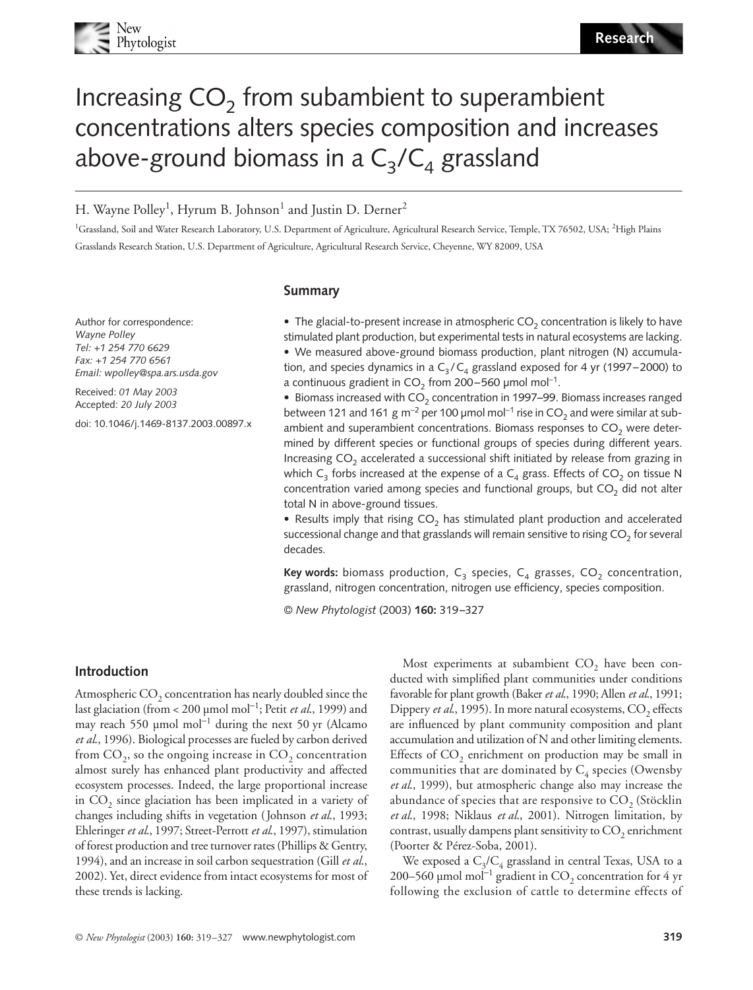

# Increasing  $CO<sub>2</sub>$  from subambient to superambient concentrations alters species composition and increases above-ground biomass in a  $C_3/C_4$  grassland

H. Wayne Polley<sup>1</sup>, Hyrum B. Johnson $^1$  and Justin D. Derner $^2$ 

<sup>1</sup>Grassland, Soil and Water Research Laboratory, U.S. Department of Agriculture, Agricultural Research Service, Temple, TX 76502, USA; <sup>2</sup>High Plains Grasslands Research Station, U.S. Department of Agriculture, Agricultural Research Service, Cheyenne, WY 82009, USA

### **Summary**

Author for correspondence: *Wayne Polley Tel: +1 254 770 6629 Fax: +1 254 770 6561 Email: wpolley@spa.ars.usda.gov*

Received: *01 May 2003* Accepted: *20 July 2003*

doi: 10.1046/j.1469-8137.2003.00897.x

• The glacial-to-present increase in atmospheric  $CO<sub>2</sub>$  concentration is likely to have stimulated plant production, but experimental tests in natural ecosystems are lacking. • We measured above-ground biomass production, plant nitrogen (N) accumulation, and species dynamics in a  $C_3/C_4$  grassland exposed for 4 yr (1997–2000) to a continuous gradient in  $CO_2$  from 200–560 µmol mol<sup>-1</sup>.

• Biomass increased with  $CO<sub>2</sub>$  concentration in 1997–99. Biomass increases ranged between 121 and 161 g m<sup>-2</sup> per 100 µmol mol<sup>-1</sup> rise in CO<sub>2</sub> and were similar at subambient and superambient concentrations. Biomass responses to  $CO<sub>2</sub>$  were determined by different species or functional groups of species during different years. Increasing  $CO<sub>2</sub>$  accelerated a successional shift initiated by release from grazing in which  $C_3$  forbs increased at the expense of a  $C_4$  grass. Effects of  $CO_2$  on tissue N concentration varied among species and functional groups, but  $CO<sub>2</sub>$  did not alter total N in above-ground tissues.

• Results imply that rising  $CO<sub>2</sub>$  has stimulated plant production and accelerated successional change and that grasslands will remain sensitive to rising  $CO<sub>2</sub>$  for several decades.

**Key words:** biomass production,  $C_3$  species,  $C_4$  grasses,  $CO_2$  concentration, grassland, nitrogen concentration, nitrogen use efficiency, species composition.

© *New Phytologist* (2003) **160:** 319–327

# **Introduction**

Atmospheric  $CO<sub>2</sub>$  concentration has nearly doubled since the last glaciation (from < 200 µmol mol<sup>−</sup><sup>1</sup> ; Petit *et al*., 1999) and may reach 550 µmol mol<sup>−</sup><sup>1</sup> during the next 50 yr (Alcamo *et al*., 1996). Biological processes are fueled by carbon derived from  $CO<sub>2</sub>$ , so the ongoing increase in  $CO<sub>2</sub>$  concentration almost surely has enhanced plant productivity and affected ecosystem processes. Indeed, the large proportional increase in  $CO<sub>2</sub>$  since glaciation has been implicated in a variety of changes including shifts in vegetation (Johnson *et al*., 1993; Ehleringer *et al*., 1997; Street-Perrott *et al*., 1997), stimulation of forest production and tree turnover rates (Phillips & Gentry, 1994), and an increase in soil carbon sequestration (Gill *et al*., 2002). Yet, direct evidence from intact ecosystems for most of these trends is lacking.

Most experiments at subambient  $CO<sub>2</sub>$  have been conducted with simplified plant communities under conditions favorable for plant growth (Baker *et al*., 1990; Allen *et al*., 1991; Dippery *et al.*, 1995). In more natural ecosystems, CO<sub>2</sub> effects are influenced by plant community composition and plant accumulation and utilization of N and other limiting elements. Effects of  $CO<sub>2</sub>$  enrichment on production may be small in communities that are dominated by  $C_4$  species (Owensby *et al*., 1999), but atmospheric change also may increase the abundance of species that are responsive to  $CO<sub>2</sub>$  (Stöcklin *et al*., 1998; Niklaus *et al*., 2001). Nitrogen limitation, by contrast, usually dampens plant sensitivity to  $CO<sub>2</sub>$  enrichment (Poorter & Pérez-Soba, 2001).

We exposed a  $C_3/C_4$  grassland in central Texas, USA to a 200–560 µmol mol<sup>-1</sup> gradient in CO<sub>2</sub> concentration for 4 yr following the exclusion of cattle to determine effects of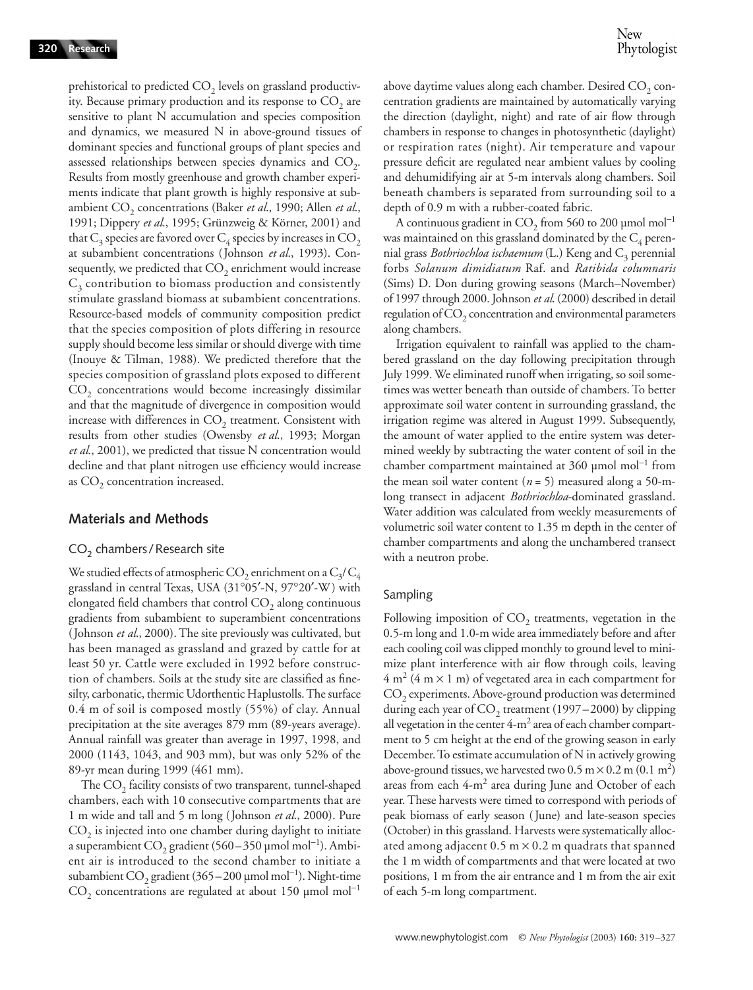prehistorical to predicted  $CO<sub>2</sub>$  levels on grassland productivity. Because primary production and its response to  $CO<sub>2</sub>$  are sensitive to plant N accumulation and species composition and dynamics, we measured N in above-ground tissues of dominant species and functional groups of plant species and assessed relationships between species dynamics and  $CO<sub>2</sub>$ . Results from mostly greenhouse and growth chamber experiments indicate that plant growth is highly responsive at subambient CO<sub>2</sub> concentrations (Baker *et al.*, 1990; Allen *et al.*, 1991; Dippery *et al*., 1995; Grünzweig & Körner, 2001) and that  $C_3$  species are favored over  $C_4$  species by increases in  $CO_2$ at subambient concentrations (Johnson *et al*., 1993). Consequently, we predicted that  $CO<sub>2</sub>$  enrichment would increase  $C_3$  contribution to biomass production and consistently stimulate grassland biomass at subambient concentrations. Resource-based models of community composition predict that the species composition of plots differing in resource supply should become less similar or should diverge with time (Inouye & Tilman, 1988). We predicted therefore that the species composition of grassland plots exposed to different  $CO<sub>2</sub>$  concentrations would become increasingly dissimilar and that the magnitude of divergence in composition would increase with differences in  $CO<sub>2</sub>$  treatment. Consistent with results from other studies (Owensby *et al*., 1993; Morgan *et al*., 2001), we predicted that tissue N concentration would decline and that plant nitrogen use efficiency would increase as  $CO<sub>2</sub>$  concentration increased.

# **Materials and Methods**

### $CO<sub>2</sub>$  chambers / Research site

We studied effects of atmospheric CO<sub>2</sub> enrichment on a  $C_3/C_4$ grassland in central Texas, USA (31°05′-N, 97°20′-W) with elongated field chambers that control  $CO<sub>2</sub>$  along continuous gradients from subambient to superambient concentrations (Johnson *et al*., 2000). The site previously was cultivated, but has been managed as grassland and grazed by cattle for at least 50 yr. Cattle were excluded in 1992 before construction of chambers. Soils at the study site are classified as finesilty, carbonatic, thermic Udorthentic Haplustolls. The surface 0.4 m of soil is composed mostly (55%) of clay. Annual precipitation at the site averages 879 mm (89-years average). Annual rainfall was greater than average in 1997, 1998, and 2000 (1143, 1043, and 903 mm), but was only 52% of the 89-yr mean during 1999 (461 mm).

The  $CO<sub>2</sub>$  facility consists of two transparent, tunnel-shaped chambers, each with 10 consecutive compartments that are 1 m wide and tall and 5 m long (Johnson *et al*., 2000). Pure  $CO<sub>2</sub>$  is injected into one chamber during daylight to initiate a superambient CO<sub>2</sub> gradient (560–350 µmol mol<sup>-1</sup>). Ambient air is introduced to the second chamber to initiate a subambient  $CO_2$  gradient (365–200 µmol mol<sup>-1</sup>). Night-time  $CO<sub>2</sub>$  concentrations are regulated at about 150 µmol mol<sup>-1</sup> above daytime values along each chamber. Desired  $\mathrm{CO}_2$  concentration gradients are maintained by automatically varying the direction (daylight, night) and rate of air flow through chambers in response to changes in photosynthetic (daylight) or respiration rates (night). Air temperature and vapour pressure deficit are regulated near ambient values by cooling and dehumidifying air at 5-m intervals along chambers. Soil beneath chambers is separated from surrounding soil to a depth of 0.9 m with a rubber-coated fabric.

A continuous gradient in  $CO<sub>2</sub>$  from 560 to 200 µmol mol<sup>-1</sup> was maintained on this grassland dominated by the  $C_4$  perennial grass *Bothriochloa ischaemum* (L.) Keng and C<sub>3</sub> perennial forbs *Solanum dimidiatum* Raf. and *Ratibida columnaris* (Sims) D. Don during growing seasons (March–November) of 1997 through 2000. Johnson *et al*. (2000) described in detail regulation of  $CO<sub>2</sub>$  concentration and environmental parameters along chambers.

Irrigation equivalent to rainfall was applied to the chambered grassland on the day following precipitation through July 1999. We eliminated runoff when irrigating, so soil sometimes was wetter beneath than outside of chambers. To better approximate soil water content in surrounding grassland, the irrigation regime was altered in August 1999. Subsequently, the amount of water applied to the entire system was determined weekly by subtracting the water content of soil in the chamber compartment maintained at 360 µmol mol<sup>−</sup><sup>1</sup> from the mean soil water content  $(n = 5)$  measured along a 50-mlong transect in adjacent *Bothriochloa*-dominated grassland. Water addition was calculated from weekly measurements of volumetric soil water content to 1.35 m depth in the center of chamber compartments and along the unchambered transect with a neutron probe.

# Sampling

Following imposition of  $CO<sub>2</sub>$  treatments, vegetation in the 0.5-m long and 1.0-m wide area immediately before and after each cooling coil was clipped monthly to ground level to minimize plant interference with air flow through coils, leaving  $4 \text{ m}^2 (4 \text{ m} \times 1 \text{ m})$  of vegetated area in each compartment for CO<sub>2</sub> experiments. Above-ground production was determined during each year of  $CO<sub>2</sub>$  treatment (1997–2000) by clipping all vegetation in the center  $4-m^2$  area of each chamber compartment to 5 cm height at the end of the growing season in early December. To estimate accumulation of N in actively growing above-ground tissues, we harvested two 0.5 m  $\times$  0.2 m (0.1 m<sup>2</sup>) areas from each  $4-m^2$  area during June and October of each year. These harvests were timed to correspond with periods of peak biomass of early season ( June) and late-season species (October) in this grassland. Harvests were systematically allocated among adjacent  $0.5 \text{ m} \times 0.2 \text{ m}$  quadrats that spanned the 1 m width of compartments and that were located at two positions, 1 m from the air entrance and 1 m from the air exit of each 5-m long compartment.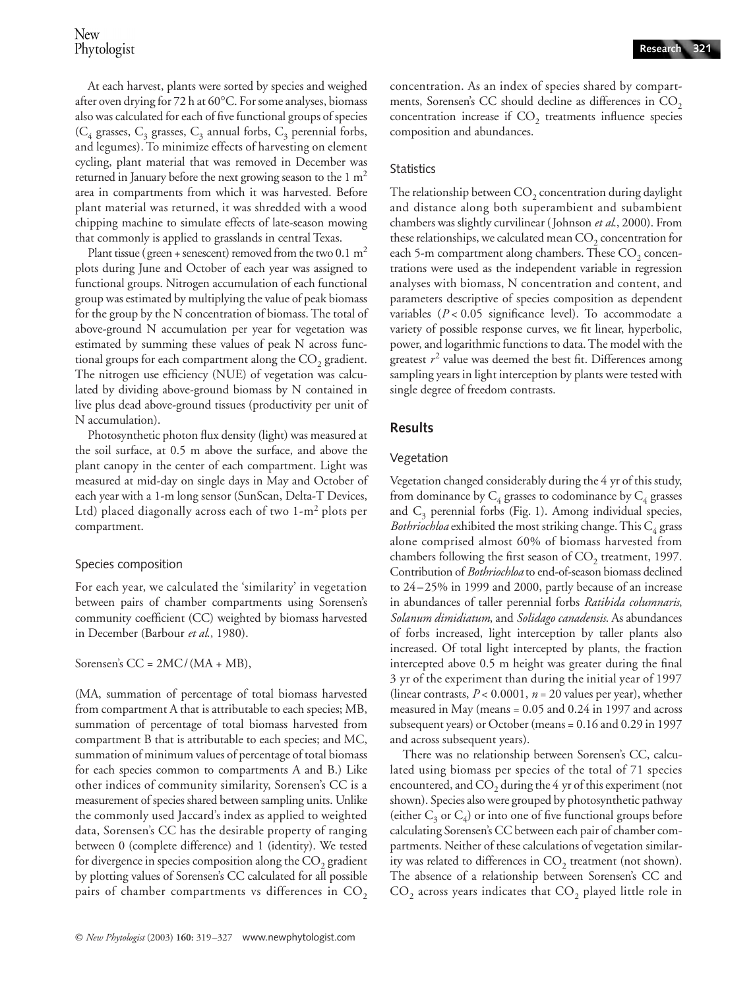At each harvest, plants were sorted by species and weighed after oven drying for 72 h at 60°C. For some analyses, biomass also was calculated for each of five functional groups of species ( $C_4$  grasses,  $C_3$  grasses,  $C_3$  annual forbs,  $C_3$  perennial forbs, and legumes). To minimize effects of harvesting on element cycling, plant material that was removed in December was returned in January before the next growing season to the  $1 \text{ m}^2$ area in compartments from which it was harvested. Before plant material was returned, it was shredded with a wood chipping machine to simulate effects of late-season mowing that commonly is applied to grasslands in central Texas.

Plant tissue (green + senescent) removed from the two 0.1  $m<sup>2</sup>$ plots during June and October of each year was assigned to functional groups. Nitrogen accumulation of each functional group was estimated by multiplying the value of peak biomass for the group by the N concentration of biomass. The total of above-ground N accumulation per year for vegetation was estimated by summing these values of peak N across functional groups for each compartment along the  $CO<sub>2</sub>$  gradient. The nitrogen use efficiency (NUE) of vegetation was calculated by dividing above-ground biomass by N contained in live plus dead above-ground tissues (productivity per unit of N accumulation).

Photosynthetic photon flux density (light) was measured at the soil surface, at 0.5 m above the surface, and above the plant canopy in the center of each compartment. Light was measured at mid-day on single days in May and October of each year with a 1-m long sensor (SunScan, Delta-T Devices, Ltd) placed diagonally across each of two 1-m<sup>2</sup> plots per compartment.

# Species composition

For each year, we calculated the 'similarity' in vegetation between pairs of chamber compartments using Sorensen's community coefficient (CC) weighted by biomass harvested in December (Barbour *et al*., 1980).

Sorensen's  $CC = 2MC/(MA + MB)$ ,

(MA, summation of percentage of total biomass harvested from compartment A that is attributable to each species; MB, summation of percentage of total biomass harvested from compartment B that is attributable to each species; and MC, summation of minimum values of percentage of total biomass for each species common to compartments A and B.) Like other indices of community similarity, Sorensen's CC is a measurement of species shared between sampling units. Unlike the commonly used Jaccard's index as applied to weighted data, Sorensen's CC has the desirable property of ranging between 0 (complete difference) and 1 (identity). We tested for divergence in species composition along the  $CO<sub>2</sub>$  gradient by plotting values of Sorensen's CC calculated for all possible pairs of chamber compartments vs differences in  $CO<sub>2</sub>$  concentration. As an index of species shared by compartments, Sorensen's CC should decline as differences in  $CO<sub>2</sub>$ concentration increase if  $CO<sub>2</sub>$  treatments influence species composition and abundances.

# **Statistics**

The relationship between  $CO<sub>2</sub>$  concentration during daylight and distance along both superambient and subambient chambers was slightly curvilinear (Johnson *et al*., 2000). From these relationships, we calculated mean  $CO<sub>2</sub>$  concentration for each 5-m compartment along chambers. These  $CO<sub>2</sub>$  concentrations were used as the independent variable in regression analyses with biomass, N concentration and content, and parameters descriptive of species composition as dependent variables (*P* < 0.05 significance level). To accommodate a variety of possible response curves, we fit linear, hyperbolic, power, and logarithmic functions to data. The model with the greatest  $r^2$  value was deemed the best fit. Differences among sampling years in light interception by plants were tested with single degree of freedom contrasts.

# **Results**

# Vegetation

Vegetation changed considerably during the 4 yr of this study, from dominance by  $C_4$  grasses to codominance by  $C_4$  grasses and  $C_3$  perennial forbs (Fig. 1). Among individual species, *Bothriochloa* exhibited the most striking change. This  $C_4$  grass alone comprised almost 60% of biomass harvested from chambers following the first season of  $CO<sub>2</sub>$  treatment, 1997. Contribution of *Bothriochloa* to end-of-season biomass declined to 24–25% in 1999 and 2000, partly because of an increase in abundances of taller perennial forbs *Ratibida columnaris*, *Solanum dimidiatum*, and *Solidago canadensis*. As abundances of forbs increased, light interception by taller plants also increased. Of total light intercepted by plants, the fraction intercepted above 0.5 m height was greater during the final 3 yr of the experiment than during the initial year of 1997 (linear contrasts, *P* < 0.0001, *n* = 20 values per year), whether measured in May (means = 0.05 and 0.24 in 1997 and across subsequent years) or October (means = 0.16 and 0.29 in 1997 and across subsequent years).

There was no relationship between Sorensen's CC, calculated using biomass per species of the total of 71 species encountered, and  $CO<sub>2</sub>$  during the 4 yr of this experiment (not shown). Species also were grouped by photosynthetic pathway (either  $C_3$  or  $C_4$ ) or into one of five functional groups before calculating Sorensen's CC between each pair of chamber compartments. Neither of these calculations of vegetation similarity was related to differences in  $CO<sub>2</sub>$  treatment (not shown). The absence of a relationship between Sorensen's CC and  $CO<sub>2</sub>$  across years indicates that  $CO<sub>2</sub>$  played little role in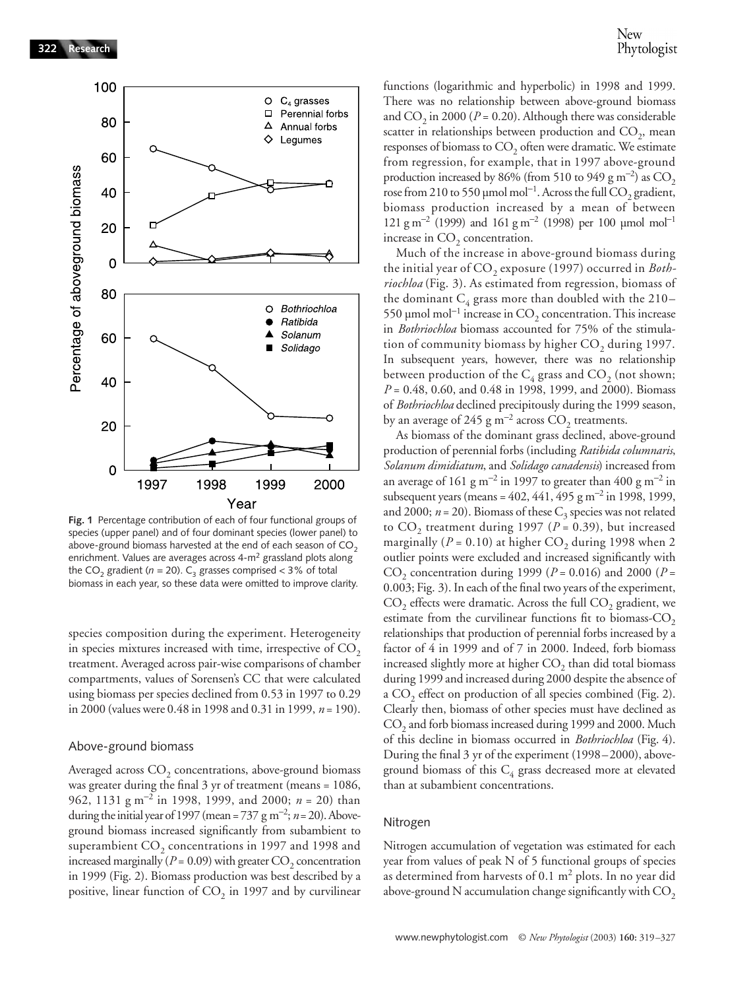

**Fig. 1** Percentage contribution of each of four functional groups of species (upper panel) and of four dominant species (lower panel) to above-ground biomass harvested at the end of each season of  $CO<sub>2</sub>$ enrichment. Values are averages across 4-m2 grassland plots along the CO<sub>2</sub> gradient ( $n = 20$ ). C<sub>3</sub> grasses comprised < 3% of total biomass in each year, so these data were omitted to improve clarity.

species composition during the experiment. Heterogeneity in species mixtures increased with time, irrespective of  $CO<sub>2</sub>$ treatment. Averaged across pair-wise comparisons of chamber compartments, values of Sorensen's CC that were calculated using biomass per species declined from 0.53 in 1997 to 0.29 in 2000 (values were 0.48 in 1998 and 0.31 in 1999, *n* = 190).

### Above-ground biomass

Averaged across CO<sub>2</sub> concentrations, above-ground biomass was greater during the final 3 yr of treatment (means = 1086, 962, 1131 g m<sup>−</sup><sup>2</sup> in 1998, 1999, and 2000; *n* = 20) than during the initial year of 1997 (mean = 737 g m<sup>-2</sup>;  $n=20$ ). Aboveground biomass increased significantly from subambient to superambient  $CO<sub>2</sub>$  concentrations in 1997 and 1998 and increased marginally ( $P = 0.09$ ) with greater CO<sub>2</sub> concentration in 1999 (Fig. 2). Biomass production was best described by a positive, linear function of  $CO<sub>2</sub>$  in 1997 and by curvilinear

functions (logarithmic and hyperbolic) in 1998 and 1999. There was no relationship between above-ground biomass and  $CO_2$  in 2000 ( $P = 0.20$ ). Although there was considerable scatter in relationships between production and  $CO<sub>2</sub>$ , mean responses of biomass to  $CO<sub>2</sub>$  often were dramatic. We estimate from regression, for example, that in 1997 above-ground production increased by 86% (from 510 to 949 g m<sup>-2</sup>) as  $CO_2$ rose from 210 to 550 µmol mol $^{-1}$ . Across the full CO<sub>2</sub> gradient, biomass production increased by a mean of between 121 g m<sup>-2</sup> (1999) and 161 g m<sup>-2</sup> (1998) per 100 μmol mol<sup>-1</sup> increase in  $CO<sub>2</sub>$  concentration.

Much of the increase in above-ground biomass during the initial year of CO<sub>2</sub> exposure (1997) occurred in *Bothriochloa* (Fig. 3). As estimated from regression, biomass of the dominant  $C_4$  grass more than doubled with the 210– 550 μmol mol<sup>-1</sup> increase in  $\mathrm{CO}_2$  concentration. This increase in *Bothriochloa* biomass accounted for 75% of the stimulation of community biomass by higher  $CO<sub>2</sub>$  during 1997. In subsequent years, however, there was no relationship between production of the  $C_4$  grass and  $CO_2$  (not shown; *P* = 0.48, 0.60, and 0.48 in 1998, 1999, and 2000). Biomass of *Bothriochloa* declined precipitously during the 1999 season, by an average of 245 g m<sup>-2</sup> across  $CO_2$  treatments.

As biomass of the dominant grass declined, above-ground production of perennial forbs (including *Ratibida columnaris*, *Solanum dimidiatum*, and *Solidago canadensis*) increased from an average of 161 g m<sup>-2</sup> in 1997 to greater than 400 g m<sup>-2</sup> in subsequent years (means = 402, 441, 495 g m<sup>-2</sup> in 1998, 1999, and 2000;  $n = 20$ ). Biomass of these  $C_3$  species was not related to  $CO_2$  treatment during 1997 ( $P = 0.39$ ), but increased marginally ( $P = 0.10$ ) at higher  $CO<sub>2</sub>$  during 1998 when 2 outlier points were excluded and increased significantly with CO<sub>2</sub> concentration during 1999 ( $P = 0.016$ ) and 2000 ( $P =$ 0.003; Fig. 3). In each of the final two years of the experiment,  $CO<sub>2</sub>$  effects were dramatic. Across the full  $CO<sub>2</sub>$  gradient, we estimate from the curvilinear functions fit to biomass-CO<sub>2</sub> relationships that production of perennial forbs increased by a factor of 4 in 1999 and of 7 in 2000. Indeed, forb biomass increased slightly more at higher  $CO<sub>2</sub>$  than did total biomass during 1999 and increased during 2000 despite the absence of a CO<sub>2</sub> effect on production of all species combined (Fig. 2). Clearly then, biomass of other species must have declined as CO<sub>2</sub> and forb biomass increased during 1999 and 2000. Much of this decline in biomass occurred in *Bothriochloa* (Fig. 4). During the final 3 yr of the experiment (1998–2000), aboveground biomass of this  $C_4$  grass decreased more at elevated than at subambient concentrations.

#### Nitrogen

Nitrogen accumulation of vegetation was estimated for each year from values of peak N of 5 functional groups of species as determined from harvests of 0.1  $m<sup>2</sup>$  plots. In no year did above-ground N accumulation change significantly with  $\mathrm{CO}_2$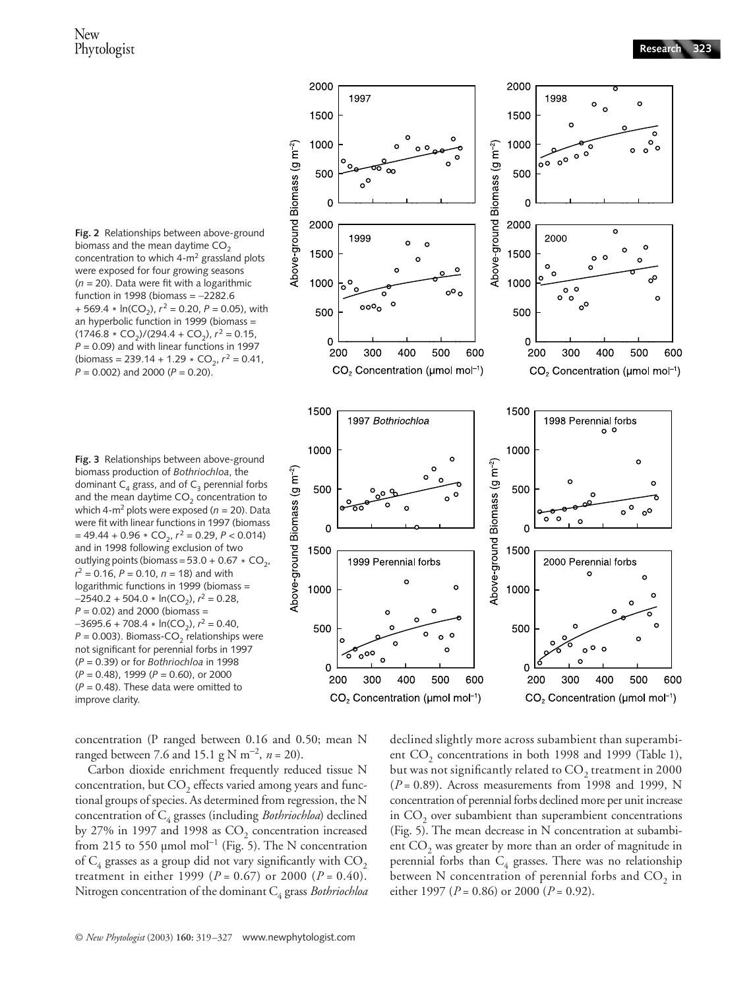$\circ$ 

o

 $\circ$ 

 $\Omega$  $\circ$ 

o

 $\Omega$ 

 $\circ$ ó  $\Delta$ 



2000

1500

1000

500

 $\overline{0}$ 

2000

1500

1997

 $\circ$ 

1999

 $\infty$ 

 $\circ$ 

**Fig. 3** Relationships between above-ground biomass production of *Bothriochloa*, the dominant  $C_4$  grass, and of  $C_3$  perennial forbs and the mean daytime  $CO<sub>2</sub>$  concentration to which 4-m2 plots were exposed (*n* = 20). Data were fit with linear functions in 1997 (biomass  $= 49.44 + 0.96 * CO<sub>2</sub>$ ,  $r<sup>2</sup> = 0.29$ ,  $P < 0.014$ ) and in 1998 following exclusion of two outlying points (biomass =  $53.0 + 0.67 * CO<sub>2</sub>$ , *r* 2 = 0.16, *P* = 0.10, *n* = 18) and with logarithmic functions in 1999 (biomass = −2540.2 + 504.0 \* ln(CO<sub>2</sub>),  $r^2$  = 0.28, *P* = 0.02) and 2000 (biomass = −3695.6 + 708.4 \* ln(CO<sub>2</sub>),  $r^2 = 0.40$ ,  $P = 0.003$ ). Biomass-CO<sub>2</sub> relationships were not significant for perennial forbs in 1997 (*P* = 0.39) or for *Bothriochloa* in 1998 (*P* = 0.48), 1999 (*P* = 0.60), or 2000  $(P = 0.48)$ . These data were omitted to improve clarity.

concentration (P ranged between 0.16 and 0.50; mean N ranged between 7.6 and 15.1 g N m<sup>−</sup><sup>2</sup> , *n* = 20).

Carbon dioxide enrichment frequently reduced tissue N concentration, but  $CO<sub>2</sub>$  effects varied among years and functional groups of species. As determined from regression, the N concentration of C4 grasses (including *Bothriochloa*) declined by 27% in 1997 and 1998 as  $CO<sub>2</sub>$  concentration increased from 215 to 550 µmol mol<sup>-1</sup> (Fig. 5). The N concentration of  $C_4$  grasses as a group did not vary significantly with  $CO_2$ treatment in either 1999 ( $P = 0.67$ ) or 2000 ( $P = 0.40$ ). Nitrogen concentration of the dominant C<sub>4</sub> grass *Bothriochloa* 





2000

1500

1000

500

2000

1500

 $\overline{0}$ 

1998

õ٥

2000

 $\Omega$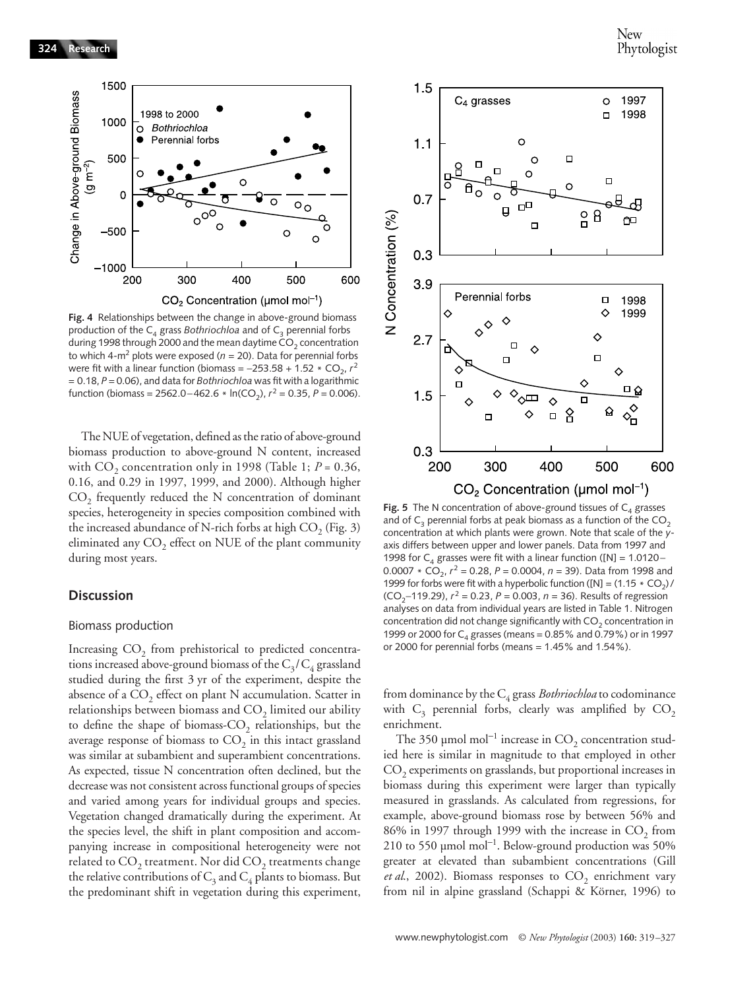

**Fig. 4** Relationships between the change in above-ground biomass production of the  $C_4$  grass *Bothriochloa* and of  $C_3$  perennial forbs during 1998 through 2000 and the mean daytime  $CO<sub>2</sub>$  concentration to which 4-m<sup>2</sup> plots were exposed ( $n = 20$ ). Data for perennial forbs were fit with a linear function (biomass =  $-253.58 + 1.52 \times CO_2$ ,  $r^2$ = 0.18, *P* = 0.06), and data for *Bothriochloa* was fit with a logarithmic function (biomass = 2562.0−462.6 \* ln(CO<sub>2</sub>),  $r^2$  = 0.35,  $P$  = 0.006).

The NUE of vegetation, defined as the ratio of above-ground biomass production to above-ground N content, increased with  $CO<sub>2</sub>$  concentration only in 1998 (Table 1;  $P = 0.36$ , 0.16, and 0.29 in 1997, 1999, and 2000). Although higher  $CO<sub>2</sub>$  frequently reduced the N concentration of dominant species, heterogeneity in species composition combined with the increased abundance of N-rich forbs at high  $CO<sub>2</sub>$  (Fig. 3) eliminated any  $CO<sub>2</sub>$  effect on NUE of the plant community during most years.

# **Discussion**

#### Biomass production

Increasing CO<sub>2</sub> from prehistorical to predicted concentrations increased above-ground biomass of the  $C_3/C_4$  grassland studied during the first 3 yr of the experiment, despite the absence of a  $CO<sub>2</sub>$  effect on plant N accumulation. Scatter in relationships between biomass and  $CO<sub>2</sub>$  limited our ability to define the shape of biomass- $CO<sub>2</sub>$  relationships, but the average response of biomass to  $CO<sub>2</sub>$  in this intact grassland was similar at subambient and superambient concentrations. As expected, tissue N concentration often declined, but the decrease was not consistent across functional groups of species and varied among years for individual groups and species. Vegetation changed dramatically during the experiment. At the species level, the shift in plant composition and accompanying increase in compositional heterogeneity were not related to  $\mathrm{CO}_2$  treatment. Nor did  $\mathrm{CO}_2$  treatments change the relative contributions of  $C_3$  and  $C_4$  plants to biomass. But the predominant shift in vegetation during this experiment,



**Fig. 5** The N concentration of above-ground tissues of  $C_4$  grasses and of  $C_3$  perennial forbs at peak biomass as a function of the CO<sub>2</sub> concentration at which plants were grown. Note that scale of the *y*axis differs between upper and lower panels. Data from 1997 and 1998 for C<sub>4</sub> grasses were fit with a linear function ([N] = 1.0120− 0.0007  $\star$  CO<sub>2</sub>,  $r^2$  = 0.28, P = 0.0004, n = 39). Data from 1998 and 1999 for forbs were fit with a hyperbolic function ([N] =  $(1.15 * CO<sub>2</sub>)$ / (CO<sub>2</sub>−119.29),  $r^2$  = 0.23,  $P$  = 0.003,  $n = 36$ ). Results of regression analyses on data from individual years are listed in Table 1. Nitrogen concentration did not change significantly with  $CO<sub>2</sub>$  concentration in 1999 or 2000 for  $C_4$  grasses (means = 0.85% and 0.79%) or in 1997 or 2000 for perennial forbs (means =  $1.45\%$  and  $1.54\%$ ).

from dominance by the C4 grass *Bothriochloa* to codominance with  $C_3$  perennial forbs, clearly was amplified by  $CO_2$ enrichment.

The 350 µmol mol<sup>-1</sup> increase in  $CO<sub>2</sub>$  concentration studied here is similar in magnitude to that employed in other CO<sub>2</sub> experiments on grasslands, but proportional increases in biomass during this experiment were larger than typically measured in grasslands. As calculated from regressions, for example, above-ground biomass rose by between 56% and  $86\%$  in 1997 through 1999 with the increase in  $CO<sub>2</sub>$  from 210 to 550 µmol mol<sup>-1</sup>. Below-ground production was 50% greater at elevated than subambient concentrations (Gill et al., 2002). Biomass responses to CO<sub>2</sub> enrichment vary from nil in alpine grassland (Schappi & Körner, 1996) to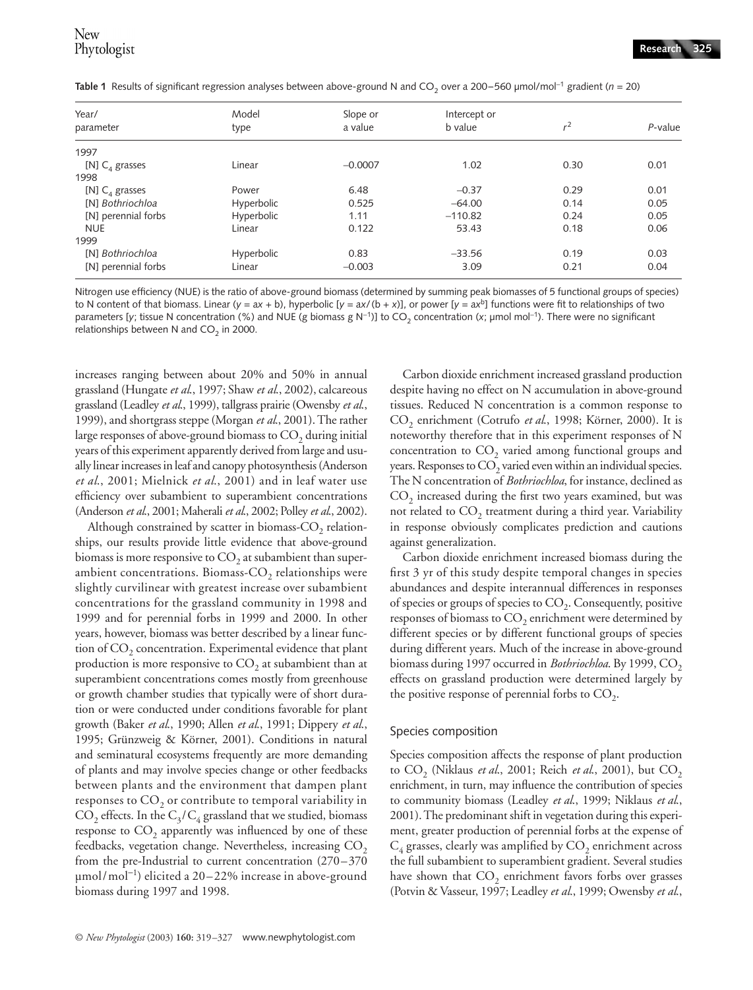| Year/<br>parameter  | Model<br>type | Slope or<br>a value | Intercept or<br>b value | r <sup>2</sup> | $P$ -value |
|---------------------|---------------|---------------------|-------------------------|----------------|------------|
|                     |               |                     |                         |                |            |
| [N] $C_4$ grasses   | Linear        | $-0.0007$           | 1.02                    | 0.30           | 0.01       |
| 1998                |               |                     |                         |                |            |
| [N] $C_4$ grasses   | Power         | 6.48                | $-0.37$                 | 0.29           | 0.01       |
| [N] Bothriochloa    | Hyperbolic    | 0.525               | $-64.00$                | 0.14           | 0.05       |
| [N] perennial forbs | Hyperbolic    | 1.11                | $-110.82$               | 0.24           | 0.05       |
| <b>NUE</b>          | Linear        | 0.122               | 53.43                   | 0.18           | 0.06       |
| 1999                |               |                     |                         |                |            |
| [N] Bothriochloa    | Hyperbolic    | 0.83                | $-33.56$                | 0.19           | 0.03       |
| [N] perennial forbs | Linear        | $-0.003$            | 3.09                    | 0.21           | 0.04       |

Table 1 Results of significant regression analyses between above-ground N and CO<sub>2</sub> over a 200–560 µmol/mol<sup>-1</sup> gradient (*n* = 20)

Nitrogen use efficiency (NUE) is the ratio of above-ground biomass (determined by summing peak biomasses of 5 functional groups of species) to N content of that biomass. Linear ( $y = ax + b$ ), hyperbolic [ $y = ax/(b + x)$ ], or power [ $y = ax<sup>b</sup>$ ] functions were fit to relationships of two parameters [y; tissue N concentration (%) and NUE (g biomass g N<sup>-1</sup>)] to CO<sub>2</sub> concentration (x; µmol mol<sup>-1</sup>). There were no significant relationships between N and  $CO<sub>2</sub>$  in 2000.

increases ranging between about 20% and 50% in annual grassland (Hungate *et al*., 1997; Shaw *et al*., 2002), calcareous grassland (Leadley *et al*., 1999), tallgrass prairie (Owensby *et al*., 1999), and shortgrass steppe (Morgan *et al*., 2001). The rather large responses of above-ground biomass to  $CO<sub>2</sub>$  during initial years of this experiment apparently derived from large and usually linear increases in leaf and canopy photosynthesis (Anderson *et al*., 2001; Mielnick *et al*., 2001) and in leaf water use efficiency over subambient to superambient concentrations (Anderson *et al*., 2001; Maherali *et al*., 2002; Polley *et al*., 2002).

Although constrained by scatter in biomass- $CO<sub>2</sub>$  relationships, our results provide little evidence that above-ground biomass is more responsive to  $CO<sub>2</sub>$  at subambient than superambient concentrations. Biomass- $CO<sub>2</sub>$  relationships were slightly curvilinear with greatest increase over subambient concentrations for the grassland community in 1998 and 1999 and for perennial forbs in 1999 and 2000. In other years, however, biomass was better described by a linear function of  $CO<sub>2</sub>$  concentration. Experimental evidence that plant production is more responsive to  $CO<sub>2</sub>$  at subambient than at superambient concentrations comes mostly from greenhouse or growth chamber studies that typically were of short duration or were conducted under conditions favorable for plant growth (Baker *et al*., 1990; Allen *et al*., 1991; Dippery *et al*., 1995; Grünzweig & Körner, 2001). Conditions in natural and seminatural ecosystems frequently are more demanding of plants and may involve species change or other feedbacks between plants and the environment that dampen plant responses to  $CO<sub>2</sub>$  or contribute to temporal variability in  $CO<sub>2</sub>$  effects. In the  $C<sub>3</sub>/C<sub>4</sub>$  grassland that we studied, biomass response to  $CO<sub>2</sub>$  apparently was influenced by one of these feedbacks, vegetation change. Nevertheless, increasing  $CO<sub>2</sub>$ from the pre-Industrial to current concentration (270–370 µmol/mol<sup>−</sup><sup>1</sup> ) elicited a 20–22% increase in above-ground biomass during 1997 and 1998.

Carbon dioxide enrichment increased grassland production despite having no effect on N accumulation in above-ground tissues. Reduced N concentration is a common response to CO<sub>2</sub> enrichment (Cotrufo et al., 1998; Körner, 2000). It is noteworthy therefore that in this experiment responses of N concentration to  $CO<sub>2</sub>$  varied among functional groups and years. Responses to  $CO<sub>2</sub>$  varied even within an individual species. The N concentration of *Bothriochloa*, for instance, declined as  $CO<sub>2</sub>$  increased during the first two years examined, but was not related to  $CO<sub>2</sub>$  treatment during a third year. Variability in response obviously complicates prediction and cautions against generalization.

Carbon dioxide enrichment increased biomass during the first 3 yr of this study despite temporal changes in species abundances and despite interannual differences in responses of species or groups of species to  $CO<sub>2</sub>$ . Consequently, positive responses of biomass to CO<sub>2</sub> enrichment were determined by different species or by different functional groups of species during different years. Much of the increase in above-ground biomass during 1997 occurred in *Bothriochloa*. By 1999, CO<sub>2</sub> effects on grassland production were determined largely by the positive response of perennial forbs to  $CO<sub>2</sub>$ .

# Species composition

Species composition affects the response of plant production to CO<sub>2</sub> (Niklaus et al., 2001; Reich et al., 2001), but CO<sub>2</sub> enrichment, in turn, may influence the contribution of species to community biomass (Leadley *et al*., 1999; Niklaus *et al*., 2001). The predominant shift in vegetation during this experiment, greater production of perennial forbs at the expense of  $C_4$  grasses, clearly was amplified by  $CO_2$  enrichment across the full subambient to superambient gradient. Several studies have shown that  $CO<sub>2</sub>$  enrichment favors forbs over grasses (Potvin & Vasseur, 1997; Leadley *et al*., 1999; Owensby *et al*.,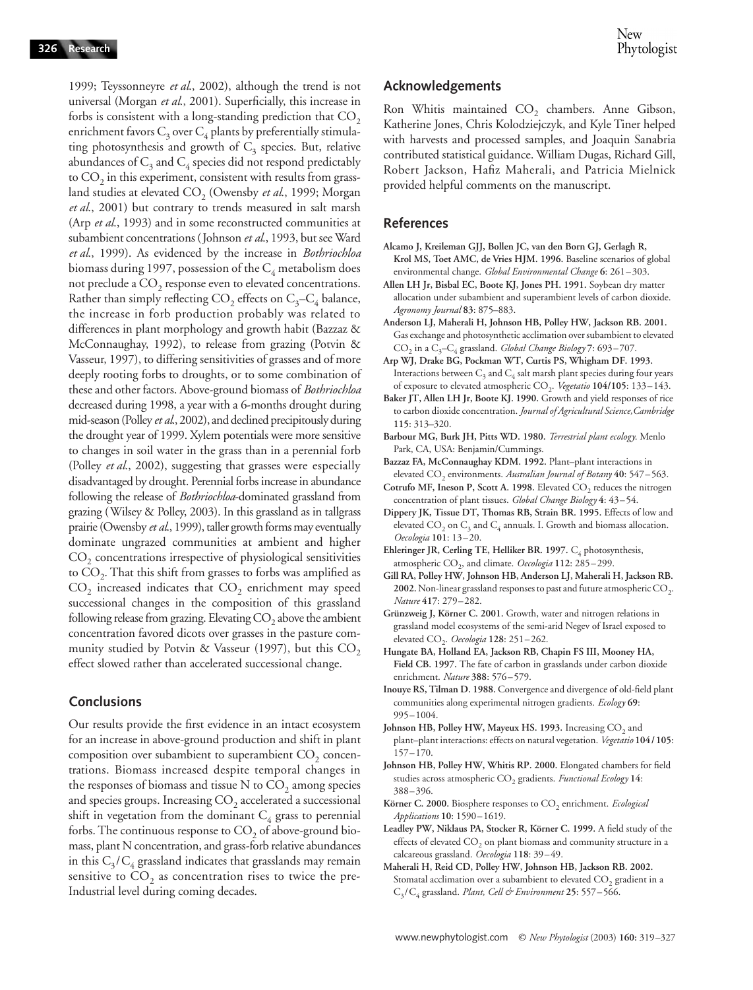1999; Teyssonneyre *et al*., 2002), although the trend is not universal (Morgan *et al*., 2001). Superficially, this increase in forbs is consistent with a long-standing prediction that  $CO<sub>2</sub>$ enrichment favors  $C_3$  over  $C_4$  plants by preferentially stimulating photosynthesis and growth of  $C_3$  species. But, relative abundances of  $C_3$  and  $C_4$  species did not respond predictably to  $CO<sub>2</sub>$  in this experiment, consistent with results from grassland studies at elevated CO<sub>2</sub> (Owensby *et al.*, 1999; Morgan *et al*., 2001) but contrary to trends measured in salt marsh (Arp *et al*., 1993) and in some reconstructed communities at subambient concentrations (Johnson *et al*., 1993, but see Ward *et al*., 1999). As evidenced by the increase in *Bothriochloa* biomass during 1997, possession of the  $C_4$  metabolism does not preclude a CO<sub>2</sub> response even to elevated concentrations. Rather than simply reflecting  $CO_2$  effects on  $C_3-C_4$  balance, the increase in forb production probably was related to differences in plant morphology and growth habit (Bazzaz & McConnaughay, 1992), to release from grazing (Potvin & Vasseur, 1997), to differing sensitivities of grasses and of more deeply rooting forbs to droughts, or to some combination of these and other factors. Above-ground biomass of *Bothriochloa* decreased during 1998, a year with a 6-months drought during mid-season (Polley *et al*., 2002), and declined precipitously during the drought year of 1999. Xylem potentials were more sensitive to changes in soil water in the grass than in a perennial forb (Polley *et al*., 2002), suggesting that grasses were especially disadvantaged by drought. Perennial forbs increase in abundance following the release of *Bothriochloa*-dominated grassland from grazing (Wilsey & Polley, 2003). In this grassland as in tallgrass prairie (Owensby *et al*., 1999), taller growth forms may eventually dominate ungrazed communities at ambient and higher CO<sub>2</sub> concentrations irrespective of physiological sensitivities to  $CO<sub>2</sub>$ . That this shift from grasses to forbs was amplified as  $CO<sub>2</sub>$  increased indicates that  $CO<sub>2</sub>$  enrichment may speed successional changes in the composition of this grassland following release from grazing. Elevating  $CO<sub>2</sub>$  above the ambient concentration favored dicots over grasses in the pasture community studied by Potvin & Vasseur (1997), but this  $CO<sub>2</sub>$ effect slowed rather than accelerated successional change.

# **Conclusions**

Our results provide the first evidence in an intact ecosystem for an increase in above-ground production and shift in plant composition over subambient to superambient  $CO<sub>2</sub>$  concentrations. Biomass increased despite temporal changes in the responses of biomass and tissue N to  $CO<sub>2</sub>$  among species and species groups. Increasing  $CO<sub>2</sub>$  accelerated a successional shift in vegetation from the dominant  $C_4$  grass to perennial forbs. The continuous response to  $CO<sub>2</sub>$  of above-ground biomass, plant N concentration, and grass-forb relative abundances in this  $C_3/C_4$  grassland indicates that grasslands may remain sensitive to  $CO<sub>2</sub>$  as concentration rises to twice the pre-Industrial level during coming decades.

# **Acknowledgements**

Ron Whitis maintained  $CO<sub>2</sub>$  chambers. Anne Gibson, Katherine Jones, Chris Kolodziejczyk, and Kyle Tiner helped with harvests and processed samples, and Joaquin Sanabria contributed statistical guidance. William Dugas, Richard Gill, Robert Jackson, Hafiz Maherali, and Patricia Mielnick provided helpful comments on the manuscript.

#### **References**

- **Alcamo J, Kreileman GJJ, Bollen JC, van den Born GJ, Gerlagh R, Krol MS, Toet AMC, de Vries HJM. 1996.** Baseline scenarios of global environmental change. *Global Environmental Change* **6**: 261–303.
- **Allen LH Jr, Bisbal EC, Boote KJ, Jones PH. 1991.** Soybean dry matter allocation under subambient and superambient levels of carbon dioxide. *Agronomy Journal* **83**: 875–883.
- **Anderson LJ, Maherali H, Johnson HB, Polley HW, Jackson RB. 2001.**  Gas exchange and photosynthetic acclimation over subambient to elevated CO2 in a C3–C4 grassland. *Global Change Biology* **7**: 693–707.
- **Arp WJ, Drake BG, Pockman WT, Curtis PS, Whigham DF. 1993.**  Interactions between  $C_3$  and  $C_4$  salt marsh plant species during four years of exposure to elevated atmospheric CO2. *Vegetatio* **104/105**: 133–143.
- **Baker JT, Allen LH Jr, Boote KJ. 1990.** Growth and yield responses of rice to carbon dioxide concentration. *Journal of Agricultural Science,Cambridge* **115**: 313–320.
- **Barbour MG, Burk JH, Pitts WD. 1980.** *Terrestrial plant ecology*. Menlo Park, CA, USA: Benjamin/Cummings.
- **Bazzaz FA, McConnaughay KDM. 1992.** Plant–plant interactions in elevated CO<sub>2</sub> environments. Australian Journal of Botany 40: 547-563.
- Cotrufo MF, Ineson P, Scott A. 1998. Elevated CO<sub>2</sub> reduces the nitrogen concentration of plant tissues. *Global Change Biology* **4**: 43–54.
- **Dippery JK, Tissue DT, Thomas RB, Strain BR. 1995.** Effects of low and elevated CO<sub>2</sub> on  $C_3$  and  $C_4$  annuals. I. Growth and biomass allocation. *Oecologia* **101**: 13–20.
- Ehleringer JR, Cerling TE, Helliker BR. 1997. C<sub>4</sub> photosynthesis, atmospheric CO<sub>2</sub>, and climate. *Oecologia* 112: 285-299.
- **Gill RA, Polley HW, Johnson HB, Anderson LJ, Maherali H, Jackson RB.**  2002. Non-linear grassland responses to past and future atmospheric CO<sub>2</sub>. *Nature* **417**: 279–282.
- **Grünzweig J, Körner C. 2001.** Growth, water and nitrogen relations in grassland model ecosystems of the semi-arid Negev of Israel exposed to elevated CO2. *Oecologia* **128**: 251–262.
- **Hungate BA, Holland EA, Jackson RB, Chapin FS III, Mooney HA, Field CB. 1997.** The fate of carbon in grasslands under carbon dioxide enrichment. *Nature* **388**: 576–579.
- **Inouye RS, Tilman D. 1988.** Convergence and divergence of old-field plant communities along experimental nitrogen gradients. *Ecology* **69**: 995–1004.
- **Johnson HB, Polley HW, Mayeux HS. 1993.** Increasing CO<sub>2</sub> and plant–plant interactions: effects on natural vegetation. *Vegetatio* **104/105**: 157–170.
- **Johnson HB, Polley HW, Whitis RP. 2000.** Elongated chambers for field studies across atmospheric CO<sub>2</sub> gradients. *Functional Ecology* 14: 388–396.
- Körner C. 2000. Biosphere responses to  $CO<sub>2</sub>$  enrichment. *Ecological Applications* **10**: 1590–1619.
- **Leadley PW, Niklaus PA, Stocker R, Körner C. 1999.** A field study of the effects of elevated  $CO<sub>2</sub>$  on plant biomass and community structure in a calcareous grassland. *Oecologia* **118**: 39–49.
- **Maherali H, Reid CD, Polley HW, Johnson HB, Jackson RB. 2002.**  Stomatal acclimation over a subambient to elevated  $CO<sub>2</sub>$  gradient in a C3/C4 grassland. *Plant, Cell & Environment* **25**: 557–566.